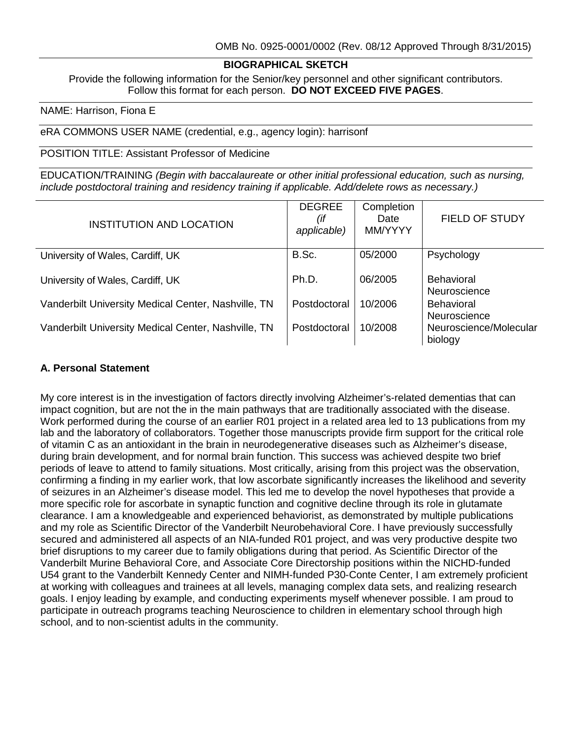# **BIOGRAPHICAL SKETCH**

Provide the following information for the Senior/key personnel and other significant contributors. Follow this format for each person. **DO NOT EXCEED FIVE PAGES**.

#### NAME: Harrison, Fiona E

eRA COMMONS USER NAME (credential, e.g., agency login): harrisonf

POSITION TITLE: Assistant Professor of Medicine

EDUCATION/TRAINING *(Begin with baccalaureate or other initial professional education, such as nursing, include postdoctoral training and residency training if applicable. Add/delete rows as necessary.)*

| INSTITUTION AND LOCATION                            | <b>DEGREE</b><br>(if<br>applicable) | Completion<br>Date<br>MM/YYYY | FIELD OF STUDY                    |
|-----------------------------------------------------|-------------------------------------|-------------------------------|-----------------------------------|
| University of Wales, Cardiff, UK                    | B.Sc.                               | 05/2000                       | Psychology                        |
| University of Wales, Cardiff, UK                    | Ph.D.                               | 06/2005                       | <b>Behavioral</b><br>Neuroscience |
| Vanderbilt University Medical Center, Nashville, TN | Postdoctoral                        | 10/2006                       | <b>Behavioral</b><br>Neuroscience |
| Vanderbilt University Medical Center, Nashville, TN | Postdoctoral                        | 10/2008                       | Neuroscience/Molecular<br>biology |

#### **A. Personal Statement**

My core interest is in the investigation of factors directly involving Alzheimer's-related dementias that can impact cognition, but are not the in the main pathways that are traditionally associated with the disease. Work performed during the course of an earlier R01 project in a related area led to 13 publications from my lab and the laboratory of collaborators. Together those manuscripts provide firm support for the critical role of vitamin C as an antioxidant in the brain in neurodegenerative diseases such as Alzheimer's disease, during brain development, and for normal brain function. This success was achieved despite two brief periods of leave to attend to family situations. Most critically, arising from this project was the observation, confirming a finding in my earlier work, that low ascorbate significantly increases the likelihood and severity of seizures in an Alzheimer's disease model. This led me to develop the novel hypotheses that provide a more specific role for ascorbate in synaptic function and cognitive decline through its role in glutamate clearance. I am a knowledgeable and experienced behaviorist, as demonstrated by multiple publications and my role as Scientific Director of the Vanderbilt Neurobehavioral Core. I have previously successfully secured and administered all aspects of an NIA-funded R01 project, and was very productive despite two brief disruptions to my career due to family obligations during that period. As Scientific Director of the Vanderbilt Murine Behavioral Core, and Associate Core Directorship positions within the NICHD-funded U54 grant to the Vanderbilt Kennedy Center and NIMH-funded P30-Conte Center, I am extremely proficient at working with colleagues and trainees at all levels, managing complex data sets, and realizing research goals. I enjoy leading by example, and conducting experiments myself whenever possible. I am proud to participate in outreach programs teaching Neuroscience to children in elementary school through high school, and to non-scientist adults in the community.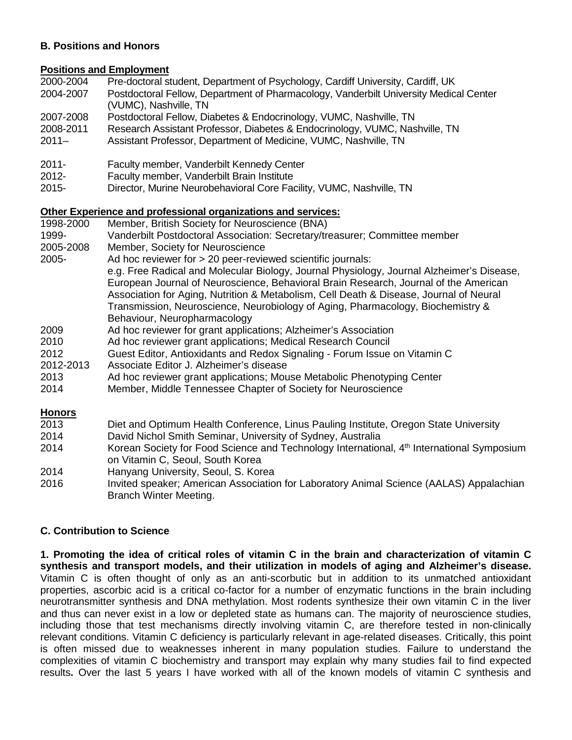#### **B. Positions and Honors**

#### **Positions and Employment**

- 2000-2004 Pre-doctoral student, Department of Psychology, Cardiff University, Cardiff, UK<br>2004-2007 Postdoctoral Fellow, Department of Pharmacology, Vanderbilt University Medica
- Postdoctoral Fellow, Department of Pharmacology, Vanderbilt University Medical Center (VUMC), Nashville, TN
- 2007-2008 Postdoctoral Fellow, Diabetes & Endocrinology, VUMC, Nashville, TN
- 2008-2011 Research Assistant Professor, Diabetes & Endocrinology, VUMC, Nashville, TN
- 2011– Assistant Professor, Department of Medicine, VUMC, Nashville, TN
- 2011- Faculty member, Vanderbilt Kennedy Center
- 2012- Faculty member, Vanderbilt Brain Institute
- 2015- Director, Murine Neurobehavioral Core Facility, VUMC, Nashville, TN

# **Other Experience and professional organizations and services:**

- Member, British Society for Neuroscience (BNA) 1999- Vanderbilt Postdoctoral Association: Secretary/treasurer; Committee member 2005-2008 Member, Society for Neuroscience 2005- Ad hoc reviewer for > 20 peer-reviewed scientific journals: e.g. Free Radical and Molecular Biology, Journal Physiology, Journal Alzheimer's Disease, European Journal of Neuroscience, Behavioral Brain Research, Journal of the American Association for Aging, Nutrition & Metabolism, Cell Death & Disease, Journal of Neural Transmission, Neuroscience, Neurobiology of Aging, Pharmacology, Biochemistry & Behaviour, Neuropharmacology 2009 Ad hoc reviewer for grant applications; Alzheimer's Association 2010 Ad hoc reviewer grant applications; Medical Research Council 2012 Guest Editor, Antioxidants and Redox Signaling - Forum Issue on Vitamin C 2012-2013 Associate Editor J. Alzheimer's disease 2013 Ad hoc reviewer grant applications; Mouse Metabolic Phenotyping Center 2014 Member, Middle Tennessee Chapter of Society for Neuroscience **Honors** 2013 Diet and Optimum Health Conference, Linus Pauling Institute, Oregon State University 2014 David Nichol Smith Seminar, University of Sydney, Australia Korean Society for Food Science and Technology International, 4<sup>th</sup> International Symposium
- on Vitamin C, Seoul, South Korea 2014 Hanyang University, Seoul, S. Korea
- 2016 Invited speaker; American Association for Laboratory Animal Science (AALAS) Appalachian Branch Winter Meeting.

# **C. Contribution to Science**

**1. Promoting the idea of critical roles of vitamin C in the brain and characterization of vitamin C synthesis and transport models, and their utilization in models of aging and Alzheimer's disease.** Vitamin C is often thought of only as an anti-scorbutic but in addition to its unmatched antioxidant properties, ascorbic acid is a critical co-factor for a number of enzymatic functions in the brain including neurotransmitter synthesis and DNA methylation. Most rodents synthesize their own vitamin C in the liver and thus can never exist in a low or depleted state as humans can. The majority of neuroscience studies, including those that test mechanisms directly involving vitamin C, are therefore tested in non-clinically relevant conditions. Vitamin C deficiency is particularly relevant in age-related diseases. Critically, this point is often missed due to weaknesses inherent in many population studies. Failure to understand the complexities of vitamin C biochemistry and transport may explain why many studies fail to find expected results**.** Over the last 5 years I have worked with all of the known models of vitamin C synthesis and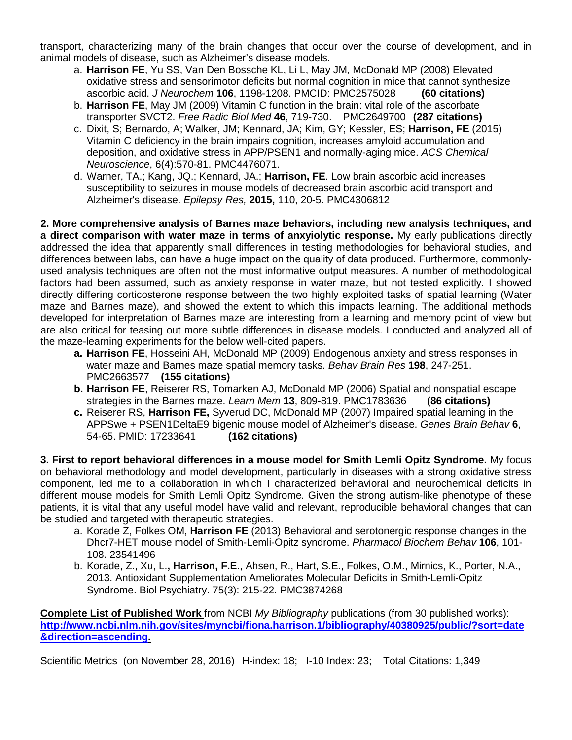transport, characterizing many of the brain changes that occur over the course of development, and in animal models of disease, such as Alzheimer's disease models.

- a. **Harrison FE**, Yu SS, Van Den Bossche KL, Li L, May JM, McDonald MP (2008) Elevated oxidative stress and sensorimotor deficits but normal cognition in mice that cannot synthesize ascorbic acid. *J Neurochem* **106**, 1198-1208. PMCID: PMC2575028 **(60 citations)**
- b. **Harrison FE**, May JM (2009) Vitamin C function in the brain: vital role of the ascorbate transporter SVCT2. *Free Radic Biol Med* **46**, 719-730. PMC2649700 **(287 citations)**
- c. Dixit, S; Bernardo, A; Walker, JM; Kennard, JA; Kim, GY; Kessler, ES; **Harrison, FE** (2015) Vitamin C deficiency in the brain impairs cognition, increases amyloid accumulation and deposition, and oxidative stress in APP/PSEN1 and normally-aging mice. *ACS Chemical Neuroscience*, 6(4):570-81. PMC4476071.
- d. Warner, TA.; Kang, JQ.; Kennard, JA.; **Harrison, FE**. Low brain ascorbic acid increases susceptibility to seizures in mouse models of decreased brain ascorbic acid transport and Alzheimer's disease. *Epilepsy Res,* **2015,** 110, 20-5. PMC4306812

**2. More comprehensive analysis of Barnes maze behaviors, including new analysis techniques, and a direct comparison with water maze in terms of anxyiolytic response.** My early publications directly addressed the idea that apparently small differences in testing methodologies for behavioral studies, and differences between labs, can have a huge impact on the quality of data produced. Furthermore, commonlyused analysis techniques are often not the most informative output measures. A number of methodological factors had been assumed, such as anxiety response in water maze, but not tested explicitly. I showed directly differing corticosterone response between the two highly exploited tasks of spatial learning (Water maze and Barnes maze), and showed the extent to which this impacts learning. The additional methods developed for interpretation of Barnes maze are interesting from a learning and memory point of view but are also critical for teasing out more subtle differences in disease models. I conducted and analyzed all of the maze-learning experiments for the below well-cited papers.

- **a. Harrison FE**, Hosseini AH, McDonald MP (2009) Endogenous anxiety and stress responses in water maze and Barnes maze spatial memory tasks. *Behav Brain Res* **198**, 247-251. PMC2663577 **(155 citations)**
- **b. Harrison FE**, Reiserer RS, Tomarken AJ, McDonald MP (2006) Spatial and nonspatial escape strategies in the Barnes maze. *Learn Mem* 13, 809-819. PMC1783636
- **c.** Reiserer RS, **Harrison FE,** Syverud DC, McDonald MP (2007) Impaired spatial learning in the APPSwe + PSEN1DeltaE9 bigenic mouse model of Alzheimer's disease. *Genes Brain Behav* **6**, 54-65. PMID: 17233641 **(162 citations)**

**3. First to report behavioral differences in a mouse model for Smith Lemli Opitz Syndrome.** My focus on behavioral methodology and model development, particularly in diseases with a strong oxidative stress component, led me to a collaboration in which I characterized behavioral and neurochemical deficits in different mouse models for Smith Lemli Opitz Syndrome*.* Given the strong autism-like phenotype of these patients, it is vital that any useful model have valid and relevant, reproducible behavioral changes that can be studied and targeted with therapeutic strategies.

- a. Korade Z, Folkes OM, **Harrison FE** (2013) Behavioral and serotonergic response changes in the Dhcr7-HET mouse model of Smith-Lemli-Opitz syndrome. *Pharmacol Biochem Behav* **106**, 101- 108. 23541496
- b. Korade, Z., Xu, L.**, Harrison, F.E**., Ahsen, R., Hart, S.E., Folkes, O.M., Mirnics, K., Porter, N.A., 2013. Antioxidant Supplementation Ameliorates Molecular Deficits in Smith-Lemli-Opitz Syndrome. Biol Psychiatry. 75(3): 215-22. PMC3874268

**Complete List of Published Work** from NCBI *My Bibliography* publications (from 30 published works): **[http://www.ncbi.nlm.nih.gov/sites/myncbi/fiona.harrison.1/bibliography/40380925/public/?sort=date](http://www.ncbi.nlm.nih.gov/sites/myncbi/fiona.harrison.1/bibliography/40380925/public/?sort=date&direction=ascending) [&direction=ascending.](http://www.ncbi.nlm.nih.gov/sites/myncbi/fiona.harrison.1/bibliography/40380925/public/?sort=date&direction=ascending)**

Scientific Metrics (on November 28, 2016) H-index: 18; I-10 Index: 23; Total Citations: 1,349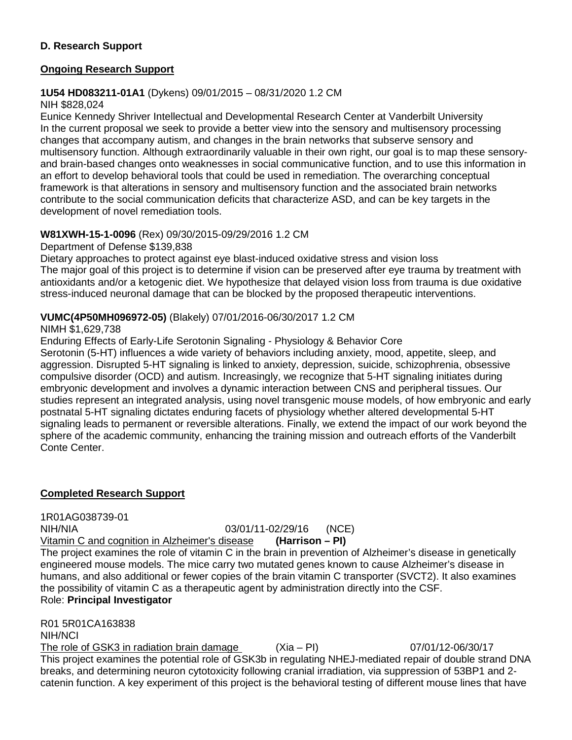## **D. Research Support**

### **Ongoing Research Support**

## **1U54 HD083211-01A1** (Dykens) 09/01/2015 – 08/31/2020 1.2 CM

#### NIH \$828,024

Eunice Kennedy Shriver Intellectual and Developmental Research Center at Vanderbilt University In the current proposal we seek to provide a better view into the sensory and multisensory processing changes that accompany autism, and changes in the brain networks that subserve sensory and multisensory function. Although extraordinarily valuable in their own right, our goal is to map these sensoryand brain-based changes onto weaknesses in social communicative function, and to use this information in an effort to develop behavioral tools that could be used in remediation. The overarching conceptual framework is that alterations in sensory and multisensory function and the associated brain networks contribute to the social communication deficits that characterize ASD, and can be key targets in the development of novel remediation tools.

## **W81XWH-15-1-0096** (Rex) 09/30/2015-09/29/2016 1.2 CM

Department of Defense \$139,838

Dietary approaches to protect against eye blast-induced oxidative stress and vision loss The major goal of this project is to determine if vision can be preserved after eye trauma by treatment with antioxidants and/or a ketogenic diet. We hypothesize that delayed vision loss from trauma is due oxidative stress-induced neuronal damage that can be blocked by the proposed therapeutic interventions.

## **VUMC(4P50MH096972-05)** (Blakely) 07/01/2016-06/30/2017 1.2 CM

#### NIMH \$1,629,738

Enduring Effects of Early-Life Serotonin Signaling - Physiology & Behavior Core

Serotonin (5-HT) influences a wide variety of behaviors including anxiety, mood, appetite, sleep, and aggression. Disrupted 5-HT signaling is linked to anxiety, depression, suicide, schizophrenia, obsessive compulsive disorder (OCD) and autism. Increasingly, we recognize that 5-HT signaling initiates during embryonic development and involves a dynamic interaction between CNS and peripheral tissues. Our studies represent an integrated analysis, using novel transgenic mouse models, of how embryonic and early postnatal 5-HT signaling dictates enduring facets of physiology whether altered developmental 5-HT signaling leads to permanent or reversible alterations. Finally, we extend the impact of our work beyond the sphere of the academic community, enhancing the training mission and outreach efforts of the Vanderbilt Conte Center.

# **Completed Research Support**

1R01AG038739-01

NIH/NIA 03/01/11-02/29/16 (NCE)

Vitamin C and cognition in Alzheimer's disease **(Harrison – PI)** The project examines the role of vitamin C in the brain in prevention of Alzheimer's disease in genetically engineered mouse models. The mice carry two mutated genes known to cause Alzheimer's disease in humans, and also additional or fewer copies of the brain vitamin C transporter (SVCT2). It also examines the possibility of vitamin C as a therapeutic agent by administration directly into the CSF. Role: **Principal Investigator**

R01 5R01CA163838 NIH/NCI

The role of GSK3 in radiation brain damage  $(Xia - Pl)$  07/01/12-06/30/17 This project examines the potential role of GSK3b in regulating NHEJ-mediated repair of double strand DNA breaks, and determining neuron cytotoxicity following cranial irradiation, via suppression of 53BP1 and 2 catenin function. A key experiment of this project is the behavioral testing of different mouse lines that have